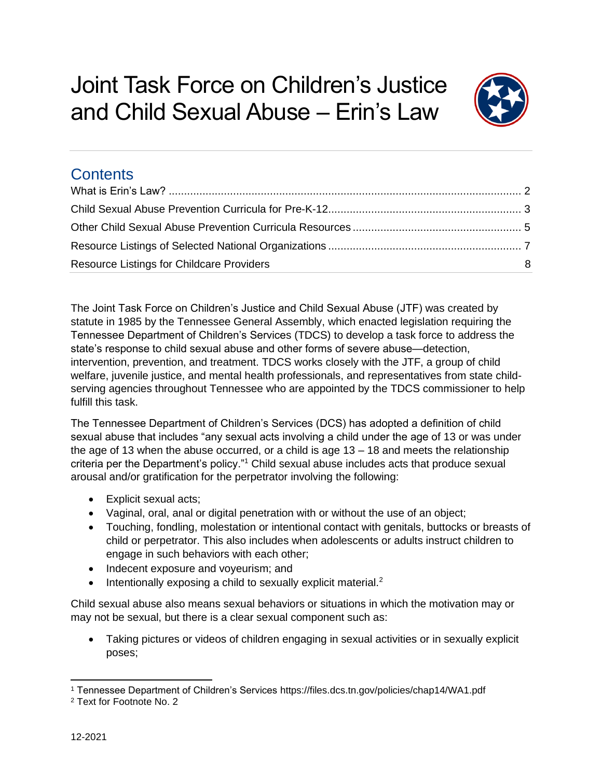

# **Contents**

| <b>Resource Listings for Childcare Providers</b> | -8 |
|--------------------------------------------------|----|

The Joint Task Force on Children's Justice and Child Sexual Abuse (JTF) was created by statute in 1985 by the Tennessee General Assembly, which enacted legislation requiring the Tennessee Department of Children's Services (TDCS) to develop a task force to address the state's response to child sexual abuse and other forms of severe abuse—detection, intervention, prevention, and treatment. TDCS works closely with the JTF, a group of child welfare, juvenile justice, and mental health professionals, and representatives from state childserving agencies throughout Tennessee who are appointed by the TDCS commissioner to help fulfill this task.

The Tennessee Department of Children's Services (DCS) has adopted a definition of child sexual abuse that includes "any sexual acts involving a child under the age of 13 or was under the age of 13 when the abuse occurred, or a child is age  $13 - 18$  and meets the relationship criteria per the Department's policy."<sup>1</sup> Child sexual abuse includes acts that produce sexual arousal and/or gratification for the perpetrator involving the following:

- Explicit sexual acts;
- Vaginal, oral, anal or digital penetration with or without the use of an object;
- Touching, fondling, molestation or intentional contact with genitals, buttocks or breasts of child or perpetrator. This also includes when adolescents or adults instruct children to engage in such behaviors with each other;
- Indecent exposure and voyeurism; and
- Intentionally exposing a child to sexually explicit material.<sup>2</sup>

Child sexual abuse also means sexual behaviors or situations in which the motivation may or may not be sexual, but there is a clear sexual component such as:

• Taking pictures or videos of children engaging in sexual activities or in sexually explicit poses;

<sup>1</sup> Tennessee Department of Children's Services https://files.dcs.tn.gov/policies/chap14/WA1.pdf

<sup>2</sup> Text for Footnote No. 2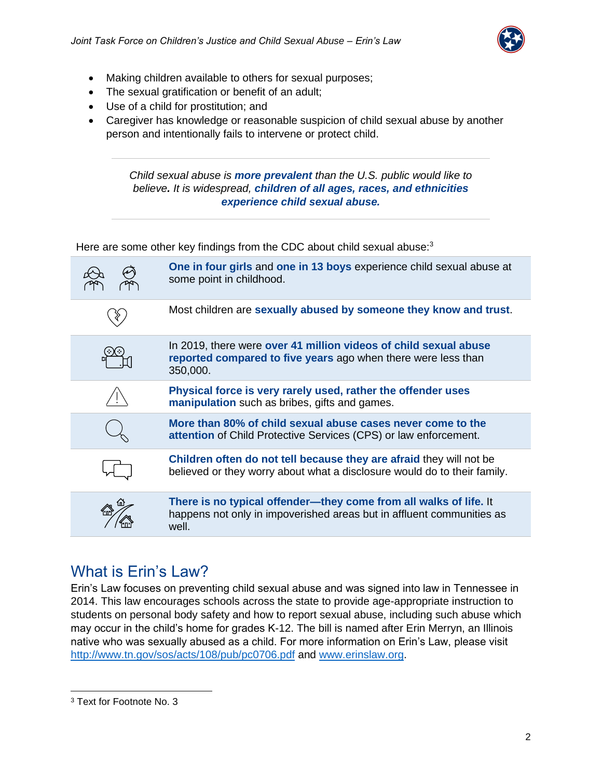

- Making children available to others for sexual purposes;
- The sexual gratification or benefit of an adult;
- Use of a child for prostitution; and
- Caregiver has knowledge or reasonable suspicion of child sexual abuse by another person and intentionally fails to intervene or protect child.

*Child sexual abuse is more prevalent than the U.S. public would like to believe. It is widespread, children of all ages, races, and ethnicities experience child sexual abuse.*

Here are some other key findings from the CDC about child sexual abuse:<sup>3</sup>

| One in four girls and one in 13 boys experience child sexual abuse at<br>some point in childhood.                                                   |
|-----------------------------------------------------------------------------------------------------------------------------------------------------|
| Most children are sexually abused by someone they know and trust.                                                                                   |
| In 2019, there were over 41 million videos of child sexual abuse<br>reported compared to five years ago when there were less than<br>350,000.       |
| Physical force is very rarely used, rather the offender uses<br>manipulation such as bribes, gifts and games.                                       |
| More than 80% of child sexual abuse cases never come to the<br>attention of Child Protective Services (CPS) or law enforcement.                     |
| Children often do not tell because they are afraid they will not be<br>believed or they worry about what a disclosure would do to their family.     |
| There is no typical offender—they come from all walks of life. It<br>happens not only in impoverished areas but in affluent communities as<br>well. |
|                                                                                                                                                     |

## <span id="page-1-0"></span>What is Erin's Law?

Erin's Law focuses on preventing child sexual abuse and was signed into law in Tennessee in 2014. This law encourages schools across the state to provide age-appropriate instruction to students on personal body safety and how to report sexual abuse, including such abuse which may occur in the child's home for grades K-12. The bill is named after Erin Merryn, an Illinois native who was sexually abused as a child. For more information on Erin's Law, please visit <http://www.tn.gov/sos/acts/108/pub/pc0706.pdf> and [www.erinslaw.org.](http://www.erinslaw.org/)

<sup>3</sup> Text for Footnote No. 3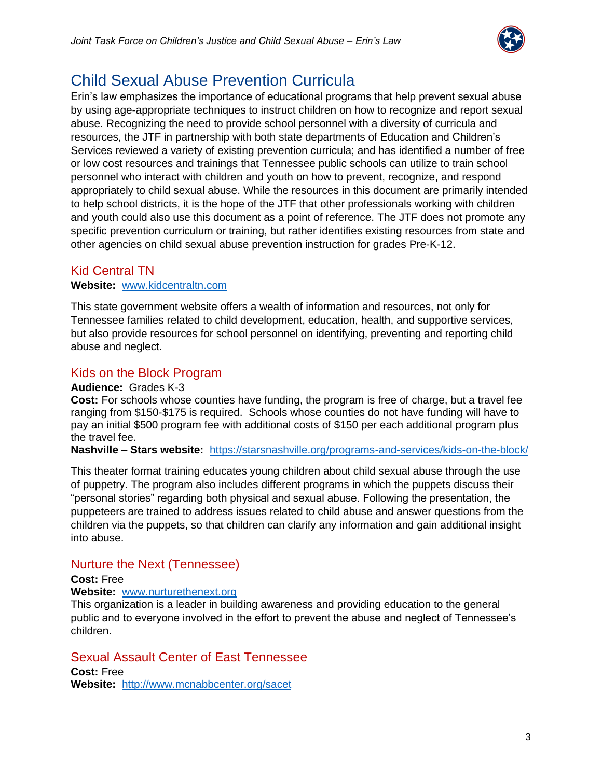

# <span id="page-2-0"></span>Child Sexual Abuse Prevention Curricula

Erin's law emphasizes the importance of educational programs that help prevent sexual abuse by using age-appropriate techniques to instruct children on how to recognize and report sexual abuse. Recognizing the need to provide school personnel with a diversity of curricula and resources, the JTF in partnership with both state departments of Education and Children's Services reviewed a variety of existing prevention curricula; and has identified a number of free or low cost resources and trainings that Tennessee public schools can utilize to train school personnel who interact with children and youth on how to prevent, recognize, and respond appropriately to child sexual abuse. While the resources in this document are primarily intended to help school districts, it is the hope of the JTF that other professionals working with children and youth could also use this document as a point of reference. The JTF does not promote any specific prevention curriculum or training, but rather identifies existing resources from state and other agencies on child sexual abuse prevention instruction for grades Pre-K-12.

## Kid Central TN

### **Website:** [www.kidcentraltn.com](http://www.kidcentraltn.com/)

This state government website offers a wealth of information and resources, not only for Tennessee families related to child development, education, health, and supportive services, but also provide resources for school personnel on identifying, preventing and reporting child abuse and neglect.

### Kids on the Block Program

### **Audience:** Grades K-3

**Cost:** For schools whose counties have funding, the program is free of charge, but a travel fee ranging from \$150-\$175 is required. Schools whose counties do not have funding will have to pay an initial \$500 program fee with additional costs of \$150 per each additional program plus the travel fee.

**Nashville – Stars website:** <https://starsnashville.org/programs-and-services/kids-on-the-block/>

This theater format training educates young children about child sexual abuse through the use of puppetry. The program also includes different programs in which the puppets discuss their "personal stories" regarding both physical and sexual abuse. Following the presentation, the puppeteers are trained to address issues related to child abuse and answer questions from the children via the puppets, so that children can clarify any information and gain additional insight into abuse.

### Nurture the Next (Tennessee)

### **Cost:** Free

### **Website:** [www.nurturethenext.org](http://www.nurturethenext.org/)

This organization is a leader in building awareness and providing education to the general public and to everyone involved in the effort to prevent the abuse and neglect of Tennessee's children.

### Sexual Assault Center of East Tennessee

**Cost:** Free **Website:** <http://www.mcnabbcenter.org/sacet>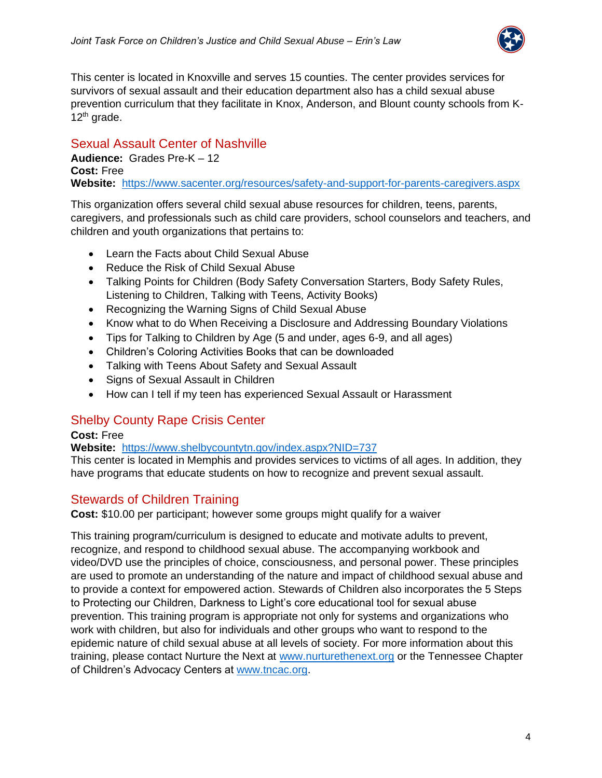

This center is located in Knoxville and serves 15 counties. The center provides services for survivors of sexual assault and their education department also has a child sexual abuse prevention curriculum that they facilitate in Knox, Anderson, and Blount county schools from K- $12<sup>th</sup>$  grade.

## Sexual Assault Center of Nashville

**Audience:** Grades Pre-K – 12 **Cost:** Free **Website:** <https://www.sacenter.org/resources/safety-and-support-for-parents-caregivers.aspx>

This organization offers several child sexual abuse resources for children, teens, parents, caregivers, and professionals such as child care providers, school counselors and teachers, and children and youth organizations that pertains to:

- Learn the Facts about Child Sexual Abuse
- Reduce the Risk of Child Sexual Abuse
- Talking Points for Children (Body Safety Conversation Starters, Body Safety Rules, Listening to Children, Talking with Teens, Activity Books)
- Recognizing the Warning Signs of Child Sexual Abuse
- Know what to do When Receiving a Disclosure and Addressing Boundary Violations
- Tips for Talking to Children by Age (5 and under, ages 6-9, and all ages)
- Children's Coloring Activities Books that can be downloaded
- Talking with Teens About Safety and Sexual Assault
- Signs of Sexual Assault in Children
- How can I tell if my teen has experienced Sexual Assault or Harassment

## Shelby County Rape Crisis Center

### **Cost:** Free

### **Website:** <https://www.shelbycountytn.gov/index.aspx?NID=737>

This center is located in Memphis and provides services to victims of all ages. In addition, they have programs that educate students on how to recognize and prevent sexual assault.

## Stewards of Children Training

**Cost:** \$10.00 per participant; however some groups might qualify for a waiver

This training program/curriculum is designed to educate and motivate adults to prevent, recognize, and respond to childhood sexual abuse. The accompanying workbook and video/DVD use the principles of choice, consciousness, and personal power. These principles are used to promote an understanding of the nature and impact of childhood sexual abuse and to provide a context for empowered action. Stewards of Children also incorporates the 5 Steps to Protecting our Children, Darkness to Light's core educational tool for sexual abuse prevention. This training program is appropriate not only for systems and organizations who work with children, but also for individuals and other groups who want to respond to the epidemic nature of child sexual abuse at all levels of society. For more information about this training, please contact Nurture the Next at [www.nurturethenext.org](http://www.nurturethenext.org/) or the Tennessee Chapter of Children's Advocacy Centers at [www.tncac.org.](http://www.tncac.org/)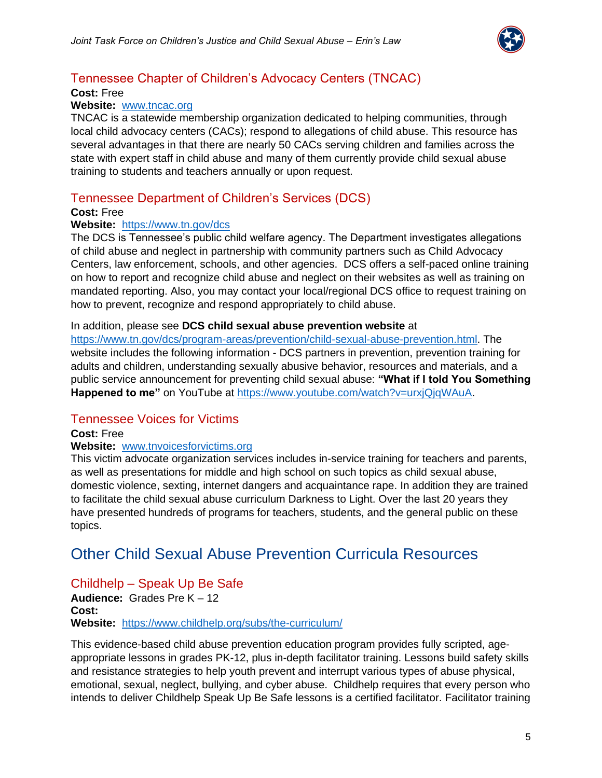

## Tennessee Chapter of Children's Advocacy Centers (TNCAC)

### **Cost:** Free

### **Website:** [www.tncac.org](http://www.tncac.org/)

TNCAC is a statewide membership organization dedicated to helping communities, through local child advocacy centers (CACs); respond to allegations of child abuse. This resource has several advantages in that there are nearly 50 CACs serving children and families across the state with expert staff in child abuse and many of them currently provide child sexual abuse training to students and teachers annually or upon request.

### Tennessee Department of Children's Services (DCS)

### **Cost:** Free

### **Website:** <https://www.tn.gov/dcs>

The DCS is Tennessee's public child welfare agency. The Department investigates allegations of child abuse and neglect in partnership with community partners such as Child Advocacy Centers, law enforcement, schools, and other agencies. DCS offers a self-paced online training on how to report and recognize child abuse and neglect on their websites as well as training on mandated reporting. Also, you may contact your local/regional DCS office to request training on how to prevent, recognize and respond appropriately to child abuse.

#### In addition, please see **DCS child sexual abuse prevention website** at

[https://www.tn.gov/dcs/program-areas/prevention/child-sexual-abuse-prevention.html.](https://www.tn.gov/dcs/program-areas/prevention/child-sexual-abuse-prevention.html) The website includes the following information - DCS partners in prevention, prevention training for adults and children, understanding sexually abusive behavior, resources and materials, and a public service announcement for preventing child sexual abuse: **"What if I told You Something**  Happened to me" on YouTube at [https://www.youtube.com/watch?v=urxjQjqWAuA.](https://www.youtube.com/watch?v=urxjQjqWAuA)

## Tennessee Voices for Victims

### **Cost:** Free

### **Website:** [www.tnvoicesforvictims.org](http://www.tnvoicesforvictims.org/)

This victim advocate organization services includes in-service training for teachers and parents, as well as presentations for middle and high school on such topics as child sexual abuse, domestic violence, sexting, internet dangers and acquaintance rape. In addition they are trained to facilitate the child sexual abuse curriculum Darkness to Light. Over the last 20 years they have presented hundreds of programs for teachers, students, and the general public on these topics.

## <span id="page-4-0"></span>Other Child Sexual Abuse Prevention Curricula Resources

## Childhelp – Speak Up Be Safe

**Audience:** Grades Pre K – 12 **Cost: Website:** <https://www.childhelp.org/subs/the-curriculum/>

This evidence-based child abuse prevention education program provides fully scripted, ageappropriate lessons in grades PK-12, plus in-depth facilitator training. Lessons build safety skills and resistance strategies to help youth prevent and interrupt various types of abuse physical, emotional, sexual, neglect, bullying, and cyber abuse. Childhelp requires that every person who intends to deliver Childhelp Speak Up Be Safe lessons is a certified facilitator. Facilitator training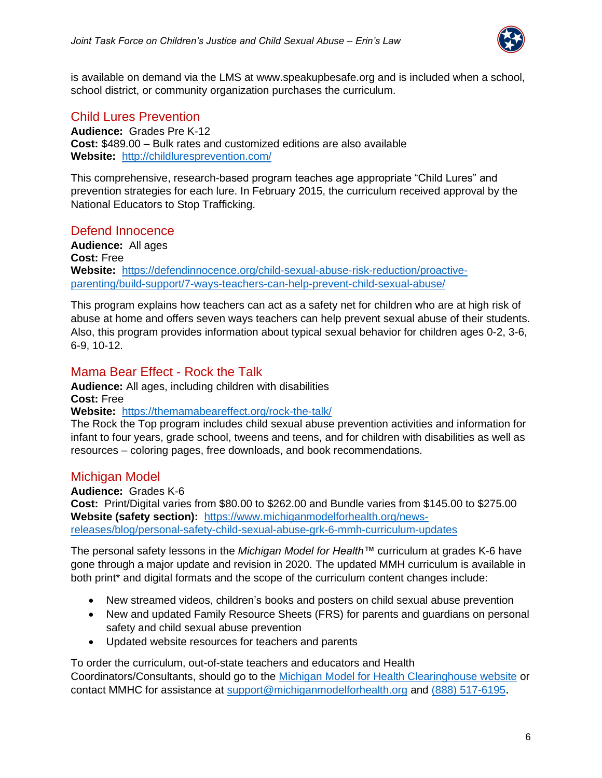

is available on demand via the LMS at www.speakupbesafe.org and is included when a school, school district, or community organization purchases the curriculum.

## Child Lures Prevention

**Audience:** Grades Pre K-12 **Cost:** \$489.00 – Bulk rates and customized editions are also available **Website:** <http://childluresprevention.com/>

This comprehensive, research-based program teaches age appropriate "Child Lures" and prevention strategies for each lure. In February 2015, the curriculum received approval by the National Educators to Stop Trafficking.

### Defend Innocence

**Audience:** All ages **Cost:** Free **Website:** [https://defendinnocence.org/child-sexual-abuse-risk-reduction/proactive](https://defendinnocence.org/child-sexual-abuse-risk-reduction/proactive-parenting/build-support/7-ways-teachers-can-help-prevent-child-sexual-abuse/)[parenting/build-support/7-ways-teachers-can-help-prevent-child-sexual-abuse/](https://defendinnocence.org/child-sexual-abuse-risk-reduction/proactive-parenting/build-support/7-ways-teachers-can-help-prevent-child-sexual-abuse/)

This program explains how teachers can act as a safety net for children who are at high risk of abuse at home and offers seven ways teachers can help prevent sexual abuse of their students. Also, this program provides information about typical sexual behavior for children ages 0-2, 3-6, 6-9, 10-12.

### Mama Bear Effect - Rock the Talk

**Audience:** All ages, including children with disabilities **Cost:** Free

**Website:** <https://themamabeareffect.org/rock-the-talk/>

The Rock the Top program includes child sexual abuse prevention activities and information for infant to four years, grade school, tweens and teens, and for children with disabilities as well as resources – coloring pages, free downloads, and book recommendations.

## Michigan Model

**Audience:** Grades K-6

**Cost:** Print/Digital varies from \$80.00 to \$262.00 and Bundle varies from \$145.00 to \$275.00 **Website (safety section):** [https://www.michiganmodelforhealth.org/news](https://www.michiganmodelforhealth.org/news-releases/blog/personal-safety-child-sexual-abuse-grk-6-mmh-curriculum-updates)[releases/blog/personal-safety-child-sexual-abuse-grk-6-mmh-curriculum-updates](https://www.michiganmodelforhealth.org/news-releases/blog/personal-safety-child-sexual-abuse-grk-6-mmh-curriculum-updates)

The personal safety lessons in the *Michigan Model for Health™* curriculum at grades K-6 have gone through a major update and revision in 2020. The updated MMH curriculum is available in both print<sup>\*</sup> and digital formats and the scope of the curriculum content changes include:

- New streamed videos, children's books and posters on child sexual abuse prevention
- New and updated Family Resource Sheets (FRS) for parents and guardians on personal safety and child sexual abuse prevention
- Updated website resources for teachers and parents

To order the curriculum, out-of-state teachers and educators and Health Coordinators/Consultants, should go to the [Michigan Model for Health Clearinghouse website](https://mmhclearinghouse.org/) or contact MMHC for assistance at [support@michiganmodelforhealth.org](mailto:support@michiganmodelforhealth.org) and [\(888\) 517-6195](tel:8885176195).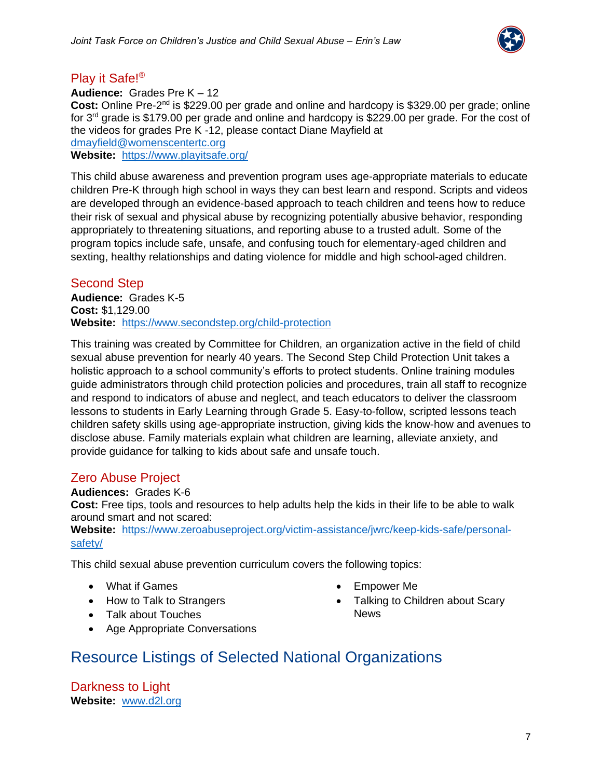

## Play it Safe!®

**Audience:** Grades Pre K – 12 Cost: Online Pre-2<sup>nd</sup> is \$229.00 per grade and online and hardcopy is \$329.00 per grade; online for  $3<sup>rd</sup>$  grade is \$179.00 per grade and online and hardcopy is \$229.00 per grade. For the cost of the videos for grades Pre K -12, please contact Diane Mayfield at [dmayfield@womenscentertc.org](mailto:dmayfield@womenscentertc.org)

**Website:** <https://www.playitsafe.org/>

This child abuse awareness and prevention program uses age-appropriate materials to educate children Pre-K through high school in ways they can best learn and respond. Scripts and videos are developed through an evidence-based approach to teach children and teens how to reduce their risk of sexual and physical abuse by recognizing potentially abusive behavior, responding appropriately to threatening situations, and reporting abuse to a trusted adult. Some of the program topics include safe, unsafe, and confusing touch for elementary-aged children and sexting, healthy relationships and dating violence for middle and high school-aged children.

## Second Step

**Audience:** Grades K-5 **Cost:** \$1,129.00 **Website:** <https://www.secondstep.org/child-protection>

This training was created by Committee for Children, an organization active in the field of child sexual abuse prevention for nearly 40 years. The Second Step Child Protection Unit takes a holistic approach to a school community's efforts to protect students. Online training modules guide administrators through child protection policies and procedures, train all staff to recognize and respond to indicators of abuse and neglect, and teach educators to deliver the classroom lessons to students in Early Learning through Grade 5. Easy-to-follow, scripted lessons teach children safety skills using age-appropriate instruction, giving kids the know-how and avenues to disclose abuse. Family materials explain what children are learning, alleviate anxiety, and provide guidance for talking to kids about safe and unsafe touch.

## Zero Abuse Project

**Audiences:** Grades K-6 **Cost:** Free tips, tools and resources to help adults help the kids in their life to be able to walk around smart and not scared:

**Website:** [https://www.zeroabuseproject.org/victim-assistance/jwrc/keep-kids-safe/personal](https://www.zeroabuseproject.org/victim-assistance/jwrc/keep-kids-safe/personal-safety/)[safety/](https://www.zeroabuseproject.org/victim-assistance/jwrc/keep-kids-safe/personal-safety/)

This child sexual abuse prevention curriculum covers the following topics:

- What if Games
- How to Talk to Strangers
- Talk about Touches
- Age Appropriate Conversations
- Empower Me
- <span id="page-6-0"></span>• Talking to Children about Scary News
- Resource Listings of Selected National Organizations

Darkness to Light **Website:** [www.d2l.org](http://www.d2l.org/)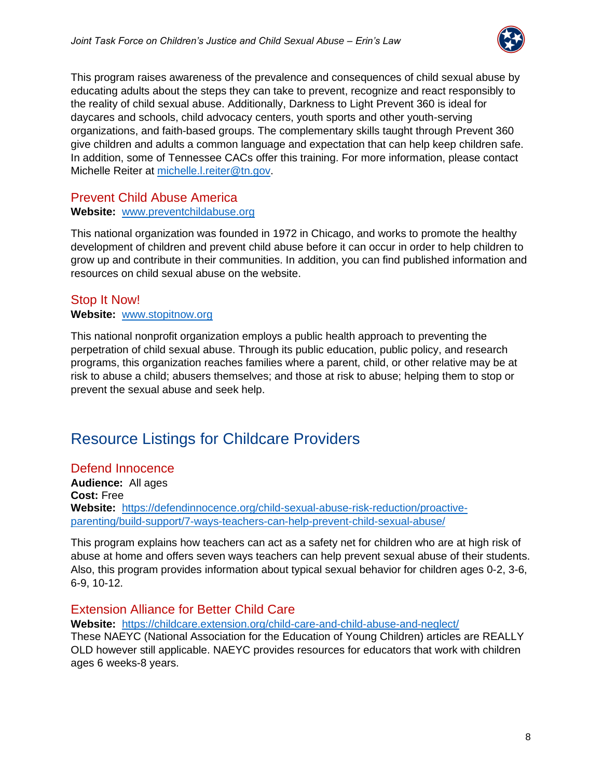

This program raises awareness of the prevalence and consequences of child sexual abuse by educating adults about the steps they can take to prevent, recognize and react responsibly to the reality of child sexual abuse. Additionally, Darkness to Light Prevent 360 is ideal for daycares and schools, child advocacy centers, youth sports and other youth-serving organizations, and faith-based groups. The complementary skills taught through Prevent 360 give children and adults a common language and expectation that can help keep children safe. In addition, some of Tennessee CACs offer this training. For more information, please contact Michelle Reiter at [michelle.l.reiter@tn.gov.](mailto:michelle.l.reiter@tn.gov)

### Prevent Child Abuse America

### **Website:** [www.preventchildabuse.org](http://www.preventchildabuse.org/)

This national organization was founded in 1972 in Chicago, and works to promote the healthy development of children and prevent child abuse before it can occur in order to help children to grow up and contribute in their communities. In addition, you can find published information and resources on child sexual abuse on the website.

### Stop It Now!

### **Website:** [www.stopitnow.org](http://www.stopitnow.org/)

This national nonprofit organization employs a public health approach to preventing the perpetration of child sexual abuse. Through its public education, public policy, and research programs, this organization reaches families where a parent, child, or other relative may be at risk to abuse a child; abusers themselves; and those at risk to abuse; helping them to stop or prevent the sexual abuse and seek help.

# Resource Listings for Childcare Providers

### Defend Innocence

**Audience:** All ages **Cost:** Free **Website:** [https://defendinnocence.org/child-sexual-abuse-risk-reduction/proactive](https://defendinnocence.org/child-sexual-abuse-risk-reduction/proactive-parenting/build-support/7-ways-teachers-can-help-prevent-child-sexual-abuse/)[parenting/build-support/7-ways-teachers-can-help-prevent-child-sexual-abuse/](https://defendinnocence.org/child-sexual-abuse-risk-reduction/proactive-parenting/build-support/7-ways-teachers-can-help-prevent-child-sexual-abuse/)

This program explains how teachers can act as a safety net for children who are at high risk of abuse at home and offers seven ways teachers can help prevent sexual abuse of their students. Also, this program provides information about typical sexual behavior for children ages 0-2, 3-6, 6-9, 10-12.

### Extension Alliance for Better Child Care

**Website:** [https://childcare.extension.org/child-care-and-child-abuse-and-neglect/](https://urldefense.com/v3/__https:/childcare.extension.org/child-care-and-child-abuse-and-neglect/__;!!PRtDf9A!6D7x_ZSQHR2eqmEqqpmQB5YzExu6F3sx-UTS12BrkHjGQE-VcKTDBJPPSGi7kclY$)

These NAEYC (National Association for the Education of Young Children) articles are REALLY OLD however still applicable. NAEYC provides resources for educators that work with children ages 6 weeks-8 years.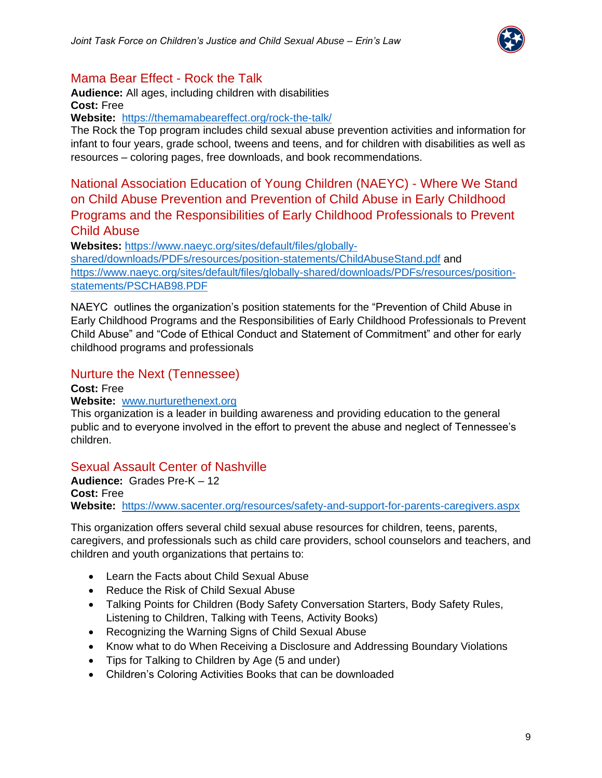

## Mama Bear Effect - Rock the Talk

**Audience:** All ages, including children with disabilities **Cost:** Free

**Website:** <https://themamabeareffect.org/rock-the-talk/>

The Rock the Top program includes child sexual abuse prevention activities and information for infant to four years, grade school, tweens and teens, and for children with disabilities as well as resources – coloring pages, free downloads, and book recommendations.

National Association Education of Young Children (NAEYC) - Where We Stand on Child Abuse Prevention and Prevention of Child Abuse in Early Childhood Programs and the Responsibilities of Early Childhood Professionals to Prevent Child Abuse

**Websites:** [https://www.naeyc.org/sites/default/files/globally-](https://www.naeyc.org/sites/default/files/globally-shared/downloads/PDFs/resources/position-statements/ChildAbuseStand.pdf)

[shared/downloads/PDFs/resources/position-statements/ChildAbuseStand.pdf](https://www.naeyc.org/sites/default/files/globally-shared/downloads/PDFs/resources/position-statements/ChildAbuseStand.pdf) and [https://www.naeyc.org/sites/default/files/globally-shared/downloads/PDFs/resources/position](https://www.naeyc.org/sites/default/files/globally-shared/downloads/PDFs/resources/position-statements/PSCHAB98.PDF)[statements/PSCHAB98.PDF](https://www.naeyc.org/sites/default/files/globally-shared/downloads/PDFs/resources/position-statements/PSCHAB98.PDF)

NAEYC outlines the organization's position statements for the "Prevention of Child Abuse in Early Childhood Programs and the Responsibilities of Early Childhood Professionals to Prevent Child Abuse" and "Code of Ethical Conduct and Statement of Commitment" and other for early childhood programs and professionals

### Nurture the Next (Tennessee)

**Cost:** Free

### **Website:** [www.nurturethenext.org](http://www.nurturethenext.org/)

This organization is a leader in building awareness and providing education to the general public and to everyone involved in the effort to prevent the abuse and neglect of Tennessee's children.

## Sexual Assault Center of Nashville

**Audience:** Grades Pre-K – 12 **Cost:** Free **Website:** <https://www.sacenter.org/resources/safety-and-support-for-parents-caregivers.aspx>

This organization offers several child sexual abuse resources for children, teens, parents, caregivers, and professionals such as child care providers, school counselors and teachers, and children and youth organizations that pertains to:

- Learn the Facts about Child Sexual Abuse
- Reduce the Risk of Child Sexual Abuse
- Talking Points for Children (Body Safety Conversation Starters, Body Safety Rules, Listening to Children, Talking with Teens, Activity Books)
- Recognizing the Warning Signs of Child Sexual Abuse
- Know what to do When Receiving a Disclosure and Addressing Boundary Violations
- Tips for Talking to Children by Age (5 and under)
- Children's Coloring Activities Books that can be downloaded